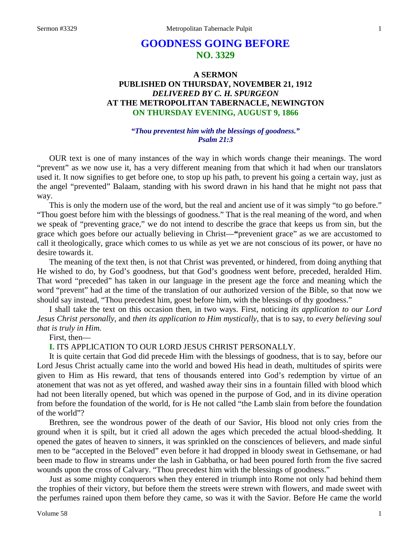# **GOODNESS GOING BEFORE NO. 3329**

# **A SERMON PUBLISHED ON THURSDAY, NOVEMBER 21, 1912** *DELIVERED BY C. H. SPURGEON* **AT THE METROPOLITAN TABERNACLE, NEWINGTON ON THURSDAY EVENING, AUGUST 9, 1866**

#### *"Thou preventest him with the blessings of goodness." Psalm 21:3*

OUR text is one of many instances of the way in which words change their meanings. The word "prevent" as we now use it, has a very different meaning from that which it had when our translators used it. It now signifies to get before one, to stop up his path, to prevent his going a certain way, just as the angel "prevented" Balaam, standing with his sword drawn in his hand that he might not pass that way.

This is only the modern use of the word, but the real and ancient use of it was simply "to go before." "Thou goest before him with the blessings of goodness." That is the real meaning of the word, and when we speak of "preventing grace," we do not intend to describe the grace that keeps us from sin, but the grace which goes before our actually believing in Christ—**"**prevenient grace" as we are accustomed to call it theologically, grace which comes to us while as yet we are not conscious of its power, or have no desire towards it.

The meaning of the text then, is not that Christ was prevented, or hindered, from doing anything that He wished to do, by God's goodness, but that God's goodness went before, preceded, heralded Him. That word "preceded" has taken in our language in the present age the force and meaning which the word "prevent" had at the time of the translation of our authorized version of the Bible, so that now we should say instead, "Thou precedest him, goest before him, with the blessings of thy goodness."

I shall take the text on this occasion then, in two ways. First, noticing *its application to our Lord Jesus Christ personally*, and *then its application to Him mystically,* that is to say, to *every believing soul that is truly in Him.* 

#### First, then—

# **I.** ITS APPLICATION TO OUR LORD JESUS CHRIST PERSONALLY.

It is quite certain that God did precede Him with the blessings of goodness, that is to say, before our Lord Jesus Christ actually came into the world and bowed His head in death, multitudes of spirits were given to Him as His reward, that tens of thousands entered into God's redemption by virtue of an atonement that was not as yet offered, and washed away their sins in a fountain filled with blood which had not been literally opened, but which was opened in the purpose of God, and in its divine operation from before the foundation of the world, for is He not called "the Lamb slain from before the foundation of the world"?

Brethren, see the wondrous power of the death of our Savior, His blood not only cries from the ground when it is spilt, but it cried all adown the ages which preceded the actual blood-shedding. It opened the gates of heaven to sinners, it was sprinkled on the consciences of believers, and made sinful men to be "accepted in the Beloved" even before it had dropped in bloody sweat in Gethsemane, or had been made to flow in streams under the lash in Gabbatha, or had been poured forth from the five sacred wounds upon the cross of Calvary. "Thou precedest him with the blessings of goodness."

Just as some mighty conquerors when they entered in triumph into Rome not only had behind them the trophies of their victory, but before them the streets were strewn with flowers, and made sweet with the perfumes rained upon them before they came, so was it with the Savior. Before He came the world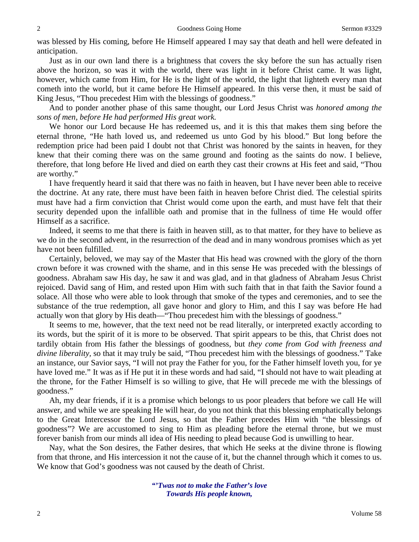was blessed by His coming, before He Himself appeared I may say that death and hell were defeated in anticipation.

Just as in our own land there is a brightness that covers the sky before the sun has actually risen above the horizon, so was it with the world, there was light in it before Christ came. It was light, however, which came from Him, for He is the light of the world, the light that lighteth every man that cometh into the world, but it came before He Himself appeared. In this verse then, it must be said of King Jesus, "Thou precedest Him with the blessings of goodness."

And to ponder another phase of this same thought, our Lord Jesus Christ was *honored among the sons of men, before He had performed His great work.* 

We honor our Lord because He has redeemed us, and it is this that makes them sing before the eternal throne, "He hath loved us, and redeemed us unto God by his blood." But long before the redemption price had been paid I doubt not that Christ was honored by the saints in heaven, for they knew that their coming there was on the same ground and footing as the saints do now. I believe, therefore, that long before He lived and died on earth they cast their crowns at His feet and said, "Thou are worthy."

I have frequently heard it said that there was no faith in heaven, but I have never been able to receive the doctrine. At any rate, there must have been faith in heaven before Christ died. The celestial spirits must have had a firm conviction that Christ would come upon the earth, and must have felt that their security depended upon the infallible oath and promise that in the fullness of time He would offer Himself as a sacrifice.

Indeed, it seems to me that there is faith in heaven still, as to that matter, for they have to believe as we do in the second advent, in the resurrection of the dead and in many wondrous promises which as yet have not been fulfilled.

Certainly, beloved, we may say of the Master that His head was crowned with the glory of the thorn crown before it was crowned with the shame, and in this sense He was preceded with the blessings of goodness. Abraham saw His day, he saw it and was glad, and in that gladness of Abraham Jesus Christ rejoiced. David sang of Him, and rested upon Him with such faith that in that faith the Savior found a solace. All those who were able to look through that smoke of the types and ceremonies, and to see the substance of the true redemption, all gave honor and glory to Him, and this I say was before He had actually won that glory by His death—"Thou precedest him with the blessings of goodness."

It seems to me, however, that the text need not be read literally, or interpreted exactly according to its words, but the spirit of it is more to be observed. That spirit appears to be this, that Christ does not tardily obtain from His father the blessings of goodness, but *they come from God with freeness and divine liberality,* so that it may truly be said, "Thou precedest him with the blessings of goodness." Take an instance, our Savior says, "I will not pray the Father for you, for the Father himself loveth you, for ye have loved me." It was as if He put it in these words and had said, "I should not have to wait pleading at the throne, for the Father Himself is so willing to give, that He will precede me with the blessings of goodness."

Ah, my dear friends, if it is a promise which belongs to us poor pleaders that before we call He will answer, and while we are speaking He will hear, do you not think that this blessing emphatically belongs to the Great Intercessor the Lord Jesus, so that the Father precedes Him with "the blessings of goodness"? We are accustomed to sing to Him as pleading before the eternal throne, but we must forever banish from our minds all idea of His needing to plead because God is unwilling to hear.

Nay, what the Son desires, the Father desires, that which He seeks at the divine throne is flowing from that throne, and His intercession it not the cause of it, but the channel through which it comes to us. We know that God's goodness was not caused by the death of Christ.

> *"'Twas not to make the Father's love Towards His people known,*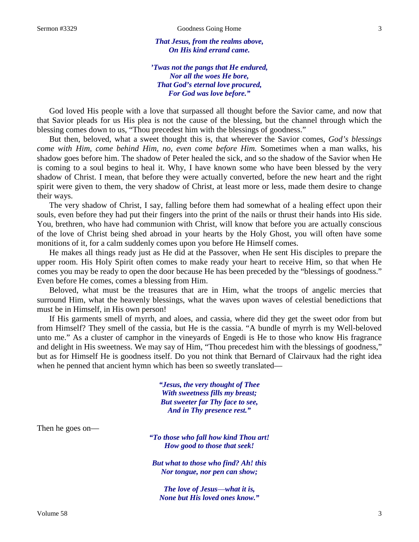*That Jesus, from the realms above, On His kind errand came.*

*'Twas not the pangs that He endured, Nor all the woes He bore, That God's eternal love procured, For God was love before."*

God loved His people with a love that surpassed all thought before the Savior came, and now that that Savior pleads for us His plea is not the cause of the blessing, but the channel through which the blessing comes down to us, "Thou precedest him with the blessings of goodness."

But then, beloved, what a sweet thought this is, that wherever the Savior comes, *God's blessings come with Him, come behind Him, no, even come before Him.* Sometimes when a man walks, his shadow goes before him. The shadow of Peter healed the sick, and so the shadow of the Savior when He is coming to a soul begins to heal it. Why, I have known some who have been blessed by the very shadow of Christ. I mean, that before they were actually converted, before the new heart and the right spirit were given to them, the very shadow of Christ, at least more or less, made them desire to change their ways.

The very shadow of Christ, I say, falling before them had somewhat of a healing effect upon their souls, even before they had put their fingers into the print of the nails or thrust their hands into His side. You, brethren, who have had communion with Christ, will know that before you are actually conscious of the love of Christ being shed abroad in your hearts by the Holy Ghost, you will often have some monitions of it, for a calm suddenly comes upon you before He Himself comes.

He makes all things ready just as He did at the Passover, when He sent His disciples to prepare the upper room. His Holy Spirit often comes to make ready your heart to receive Him, so that when He comes you may be ready to open the door because He has been preceded by the "blessings of goodness." Even before He comes, comes a blessing from Him.

Beloved, what must be the treasures that are in Him, what the troops of angelic mercies that surround Him, what the heavenly blessings, what the waves upon waves of celestial benedictions that must be in Himself, in His own person!

If His garments smell of myrrh, and aloes, and cassia, where did they get the sweet odor from but from Himself? They smell of the cassia, but He is the cassia. "A bundle of myrrh is my Well-beloved unto me." As a cluster of camphor in the vineyards of Engedi is He to those who know His fragrance and delight in His sweetness. We may say of Him, "Thou precedest him with the blessings of goodness," but as for Himself He is goodness itself. Do you not think that Bernard of Clairvaux had the right idea when he penned that ancient hymn which has been so sweetly translated—

> *"Jesus, the very thought of Thee With sweetness fills my breast; But sweeter far Thy face to see, And in Thy presence rest."*

Then he goes on—

*"To those who fall how kind Thou art! How good to those that seek!*

*But what to those who find? Ah! this Nor tongue, nor pen can show;*

*The love of Jesus*—*what it is, None but His loved ones know."*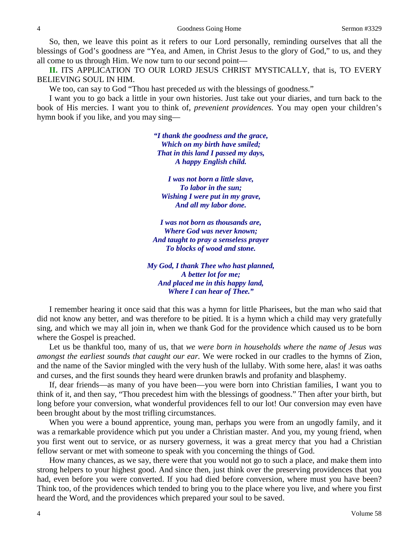So, then, we leave this point as it refers to our Lord personally, reminding ourselves that all the blessings of God's goodness are "Yea, and Amen, in Christ Jesus to the glory of God," to us, and they all come to us through Him. We now turn to our second point—

**II.** ITS APPLICATION TO OUR LORD JESUS CHRIST MYSTICALLY, that is, TO EVERY BELIEVING SOUL IN HIM.

We too, can say to God "Thou hast preceded *us* with the blessings of goodness."

I want you to go back a little in your own histories. Just take out your diaries, and turn back to the book of His mercies. I want you to think of, *prevenient providences.* You may open your children's hymn book if you like, and you may sing—

> *"I thank the goodness and the grace, Which on my birth have smiled; That in this land I passed my days, A happy English child.*

*I was not born a little slave, To labor in the sun; Wishing I were put in my grave, And all my labor done.*

*I was not born as thousands are, Where God was never known; And taught to pray a senseless prayer To blocks of wood and stone.*

*My God, I thank Thee who hast planned, A better lot for me; And placed me in this happy land, Where I can hear of Thee."*

I remember hearing it once said that this was a hymn for little Pharisees, but the man who said that did not know any better, and was therefore to be pitied. It is a hymn which a child may very gratefully sing, and which we may all join in, when we thank God for the providence which caused us to be born where the Gospel is preached.

Let us be thankful too, many of us, that *we were born in households where the name of Jesus was amongst the earliest sounds that caught our ear.* We were rocked in our cradles to the hymns of Zion, and the name of the Savior mingled with the very hush of the lullaby. With some here, alas! it was oaths and curses, and the first sounds they heard were drunken brawls and profanity and blasphemy.

If, dear friends—as many of you have been—you were born into Christian families, I want you to think of it, and then say, "Thou precedest him with the blessings of goodness." Then after your birth, but long before your conversion, what wonderful providences fell to our lot! Our conversion may even have been brought about by the most trifling circumstances.

When you were a bound apprentice, young man, perhaps you were from an ungodly family, and it was a remarkable providence which put you under a Christian master. And you, my young friend, when you first went out to service, or as nursery governess, it was a great mercy that you had a Christian fellow servant or met with someone to speak with you concerning the things of God.

How many chances, as we say, there were that you would not go to such a place, and make them into strong helpers to your highest good. And since then, just think over the preserving providences that you had, even before you were converted. If you had died before conversion, where must you have been? Think too, of the providences which tended to bring you to the place where you live, and where you first heard the Word, and the providences which prepared your soul to be saved.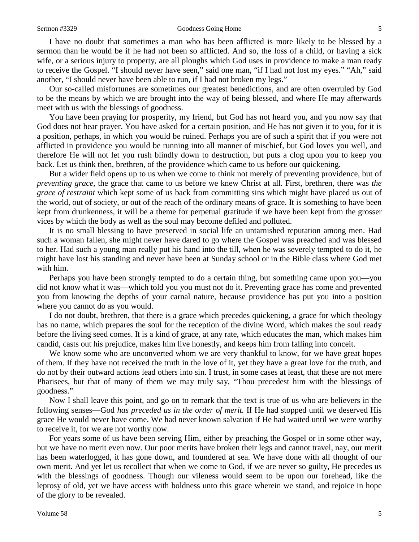I have no doubt that sometimes a man who has been afflicted is more likely to be blessed by a sermon than he would be if he had not been so afflicted. And so, the loss of a child, or having a sick wife, or a serious injury to property, are all ploughs which God uses in providence to make a man ready to receive the Gospel. "I should never have seen," said one man, "if I had not lost my eyes." "Ah," said another, "I should never have been able to run, if I had not broken my legs."

Our so-called misfortunes are sometimes our greatest benedictions, and are often overruled by God to be the means by which we are brought into the way of being blessed, and where He may afterwards meet with us with the blessings of goodness.

You have been praying for prosperity, my friend, but God has not heard you, and you now say that God does not hear prayer. You have asked for a certain position, and He has not given it to you, for it is a position, perhaps, in which you would be ruined. Perhaps you are of such a spirit that if you were not afflicted in providence you would be running into all manner of mischief, but God loves you well, and therefore He will not let you rush blindly down to destruction, but puts a clog upon you to keep you back. Let us think then, brethren, of the providence which came to us before our quickening.

But a wider field opens up to us when we come to think not merely of preventing providence, but of *preventing grace,* the grace that came to us before we knew Christ at all. First, brethren, there was *the grace of restraint* which kept some of us back from committing sins which might have placed us out of the world, out of society, or out of the reach of the ordinary means of grace. It is something to have been kept from drunkenness, it will be a theme for perpetual gratitude if we have been kept from the grosser vices by which the body as well as the soul may become defiled and polluted.

It is no small blessing to have preserved in social life an untarnished reputation among men. Had such a woman fallen, she might never have dared to go where the Gospel was preached and was blessed to her. Had such a young man really put his hand into the till, when he was severely tempted to do it, he might have lost his standing and never have been at Sunday school or in the Bible class where God met with him.

Perhaps you have been strongly tempted to do a certain thing, but something came upon you—you did not know what it was—which told you you must not do it. Preventing grace has come and prevented you from knowing the depths of your carnal nature, because providence has put you into a position where you cannot do as you would.

I do not doubt, brethren, that there is a grace which precedes quickening, a grace for which theology has no name, which prepares the soul for the reception of the divine Word, which makes the soul ready before the living seed comes. It is a kind of grace, at any rate, which educates the man, which makes him candid, casts out his prejudice, makes him live honestly, and keeps him from falling into conceit.

We know some who are unconverted whom we are very thankful to know, for we have great hopes of them. If they have not received the truth in the love of it, yet they have a great love for the truth, and do not by their outward actions lead others into sin. I trust, in some cases at least, that these are not mere Pharisees, but that of many of them we may truly say, "Thou precedest him with the blessings of goodness."

Now I shall leave this point, and go on to remark that the text is true of us who are believers in the following senses—God *has preceded us in the order of merit.* If He had stopped until we deserved His grace He would never have come. We had never known salvation if He had waited until we were worthy to receive it, for we are not worthy now.

For years some of us have been serving Him, either by preaching the Gospel or in some other way, but we have no merit even now. Our poor merits have broken their legs and cannot travel, nay, our merit has been waterlogged, it has gone down, and foundered at sea. We have done with all thought of our own merit. And yet let us recollect that when we come to God, if we are never so guilty, He precedes us with the blessings of goodness. Though our vileness would seem to be upon our forehead, like the leprosy of old, yet we have access with boldness unto this grace wherein we stand, and rejoice in hope of the glory to be revealed.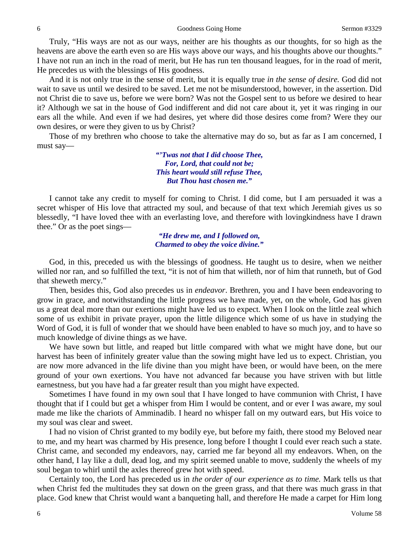Truly, "His ways are not as our ways, neither are his thoughts as our thoughts, for so high as the heavens are above the earth even so are His ways above our ways, and his thoughts above our thoughts." I have not run an inch in the road of merit, but He has run ten thousand leagues, for in the road of merit, He precedes us with the blessings of His goodness.

And it is not only true in the sense of merit, but it is equally true *in the sense of desire.* God did not wait to save us until we desired to be saved. Let me not be misunderstood, however, in the assertion. Did not Christ die to save us, before we were born? Was not the Gospel sent to us before we desired to hear it? Although we sat in the house of God indifferent and did not care about it, yet it was ringing in our ears all the while. And even if we had desires, yet where did those desires come from? Were they our own desires, or were they given to us by Christ?

Those of my brethren who choose to take the alternative may do so, but as far as I am concerned, I must say—

> *"'Twas not that I did choose Thee, For, Lord, that could not be; This heart would still refuse Thee, But Thou hast chosen me."*

I cannot take any credit to myself for coming to Christ. I did come, but I am persuaded it was a secret whisper of His love that attracted my soul, and because of that text which Jeremiah gives us so blessedly, "I have loved thee with an everlasting love, and therefore with lovingkindness have I drawn thee." Or as the poet sings—

> *"He drew me, and I followed on, Charmed to obey the voice divine."*

God, in this, preceded us with the blessings of goodness. He taught us to desire, when we neither willed nor ran, and so fulfilled the text, "it is not of him that willeth, nor of him that runneth, but of God that sheweth mercy."

Then, besides this, God also precedes us in *endeavor*. Brethren, you and I have been endeavoring to grow in grace, and notwithstanding the little progress we have made, yet, on the whole, God has given us a great deal more than our exertions might have led us to expect. When I look on the little zeal which some of us exhibit in private prayer, upon the little diligence which some of us have in studying the Word of God, it is full of wonder that we should have been enabled to have so much joy, and to have so much knowledge of divine things as we have.

We have sown but little, and reaped but little compared with what we might have done, but our harvest has been of infinitely greater value than the sowing might have led us to expect. Christian, you are now more advanced in the life divine than you might have been, or would have been, on the mere ground of your own exertions. You have not advanced far because you have striven with but little earnestness, but you have had a far greater result than you might have expected.

Sometimes I have found in my own soul that I have longed to have communion with Christ, I have thought that if I could but get a whisper from Him I would be content, and or ever I was aware, my soul made me like the chariots of Amminadib. I heard no whisper fall on my outward ears, but His voice to my soul was clear and sweet.

I had no vision of Christ granted to my bodily eye, but before my faith, there stood my Beloved near to me, and my heart was charmed by His presence, long before I thought I could ever reach such a state. Christ came, and seconded my endeavors, nay, carried me far beyond all my endeavors. When, on the other hand, I lay like a dull, dead log, and my spirit seemed unable to move, suddenly the wheels of my soul began to whirl until the axles thereof grew hot with speed.

Certainly too, the Lord has preceded us in *the order of our experience as to time.* Mark tells us that when Christ fed the multitudes they sat down on the green grass, and that there was much grass in that place. God knew that Christ would want a banqueting hall, and therefore He made a carpet for Him long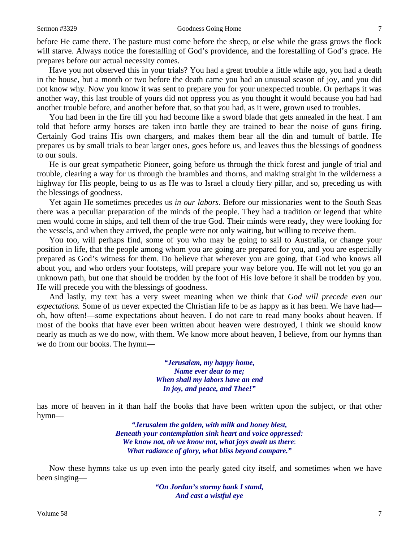before He came there. The pasture must come before the sheep, or else while the grass grows the flock will starve. Always notice the forestalling of God's providence, and the forestalling of God's grace. He prepares before our actual necessity comes.

Have you not observed this in your trials? You had a great trouble a little while ago, you had a death in the house, but a month or two before the death came you had an unusual season of joy, and you did not know why. Now you know it was sent to prepare you for your unexpected trouble. Or perhaps it was another way, this last trouble of yours did not oppress you as you thought it would because you had had another trouble before, and another before that, so that you had, as it were, grown used to troubles.

You had been in the fire till you had become like a sword blade that gets annealed in the heat. I am told that before army horses are taken into battle they are trained to bear the noise of guns firing. Certainly God trains His own chargers, and makes them bear all the din and tumult of battle. He prepares us by small trials to bear larger ones, goes before us, and leaves thus the blessings of goodness to our souls.

He is our great sympathetic Pioneer, going before us through the thick forest and jungle of trial and trouble, clearing a way for us through the brambles and thorns, and making straight in the wilderness a highway for His people, being to us as He was to Israel a cloudy fiery pillar, and so, preceding us with the blessings of goodness.

Yet again He sometimes precedes us *in our labors.* Before our missionaries went to the South Seas there was a peculiar preparation of the minds of the people. They had a tradition or legend that white men would come in ships, and tell them of the true God. Their minds were ready, they were looking for the vessels, and when they arrived, the people were not only waiting, but willing to receive them.

You too, will perhaps find, some of you who may be going to sail to Australia, or change your position in life, that the people among whom you are going are prepared for you, and you are especially prepared as God's witness for them. Do believe that wherever you are going, that God who knows all about you, and who orders your footsteps, will prepare your way before you. He will not let you go an unknown path, but one that should be trodden by the foot of His love before it shall be trodden by you. He will precede you with the blessings of goodness.

And lastly, my text has a very sweet meaning when we think that *God will precede even our expectations.* Some of us never expected the Christian life to be as happy as it has been. We have had oh, how often!—some expectations about heaven. I do not care to read many books about heaven. If most of the books that have ever been written about heaven were destroyed, I think we should know nearly as much as we do now, with them. We know more about heaven, I believe, from our hymns than we do from our books. The hymn—

> *"Jerusalem, my happy home, Name ever dear to me; When shall my labors have an end In joy, and peace, and Thee!"*

has more of heaven in it than half the books that have been written upon the subject, or that other hymn—

> *"Jerusalem the golden, with milk and honey blest, Beneath your contemplation sink heart and voice oppressed: We know not, oh we know not, what joys await us there*: *What radiance of glory, what bliss beyond compare."*

Now these hymns take us up even into the pearly gated city itself, and sometimes when we have been singing—

> *"On Jordan's stormy bank I stand, And cast a wistful eye*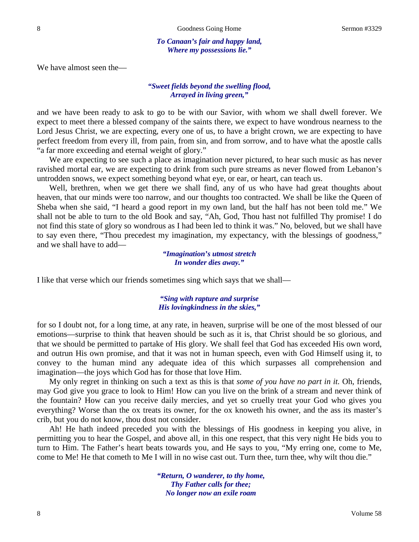*To Canaan's fair and happy land, Where my possessions lie."*

We have almost seen the—

#### *"Sweet fields beyond the swelling flood, Arrayed in living green,"*

and we have been ready to ask to go to be with our Savior, with whom we shall dwell forever. We expect to meet there a blessed company of the saints there, we expect to have wondrous nearness to the Lord Jesus Christ, we are expecting, every one of us, to have a bright crown, we are expecting to have perfect freedom from every ill, from pain, from sin, and from sorrow, and to have what the apostle calls "a far more exceeding and eternal weight of glory."

We are expecting to see such a place as imagination never pictured, to hear such music as has never ravished mortal ear, we are expecting to drink from such pure streams as never flowed from Lebanon's untrodden snows, we expect something beyond what eye, or ear, or heart, can teach us.

Well, brethren, when we get there we shall find, any of us who have had great thoughts about heaven, that our minds were too narrow, and our thoughts too contracted. We shall be like the Queen of Sheba when she said, "I heard a good report in my own land, but the half has not been told me." We shall not be able to turn to the old Book and say, "Ah, God, Thou hast not fulfilled Thy promise! I do not find this state of glory so wondrous as I had been led to think it was." No, beloved, but we shall have to say even there, "Thou precedest my imagination, my expectancy, with the blessings of goodness," and we shall have to add—

> *"Imagination's utmost stretch In wonder dies away."*

I like that verse which our friends sometimes sing which says that we shall—

#### *"Sing with rapture and surprise His lovingkindness in the skies,"*

for so I doubt not, for a long time, at any rate, in heaven, surprise will be one of the most blessed of our emotions—surprise to think that heaven should be such as it is, that Christ should be so glorious, and that we should be permitted to partake of His glory. We shall feel that God has exceeded His own word, and outrun His own promise, and that it was not in human speech, even with God Himself using it, to convey to the human mind any adequate idea of this which surpasses all comprehension and imagination—the joys which God has for those that love Him.

My only regret in thinking on such a text as this is that *some of you have no part in it.* Oh, friends, may God give you grace to look to Him! How can you live on the brink of a stream and never think of the fountain? How can you receive daily mercies, and yet so cruelly treat your God who gives you everything? Worse than the ox treats its owner, for the ox knoweth his owner, and the ass its master's crib, but you do not know, thou dost not consider.

Ah! He hath indeed preceded you with the blessings of His goodness in keeping you alive, in permitting you to hear the Gospel, and above all, in this one respect, that this very night He bids you to turn to Him. The Father's heart beats towards you, and He says to you, "My erring one, come to Me, come to Me! He that cometh to Me I will in no wise cast out. Turn thee, turn thee, why wilt thou die."

> *"Return, O wanderer, to thy home, Thy Father calls for thee; No longer now an exile roam*